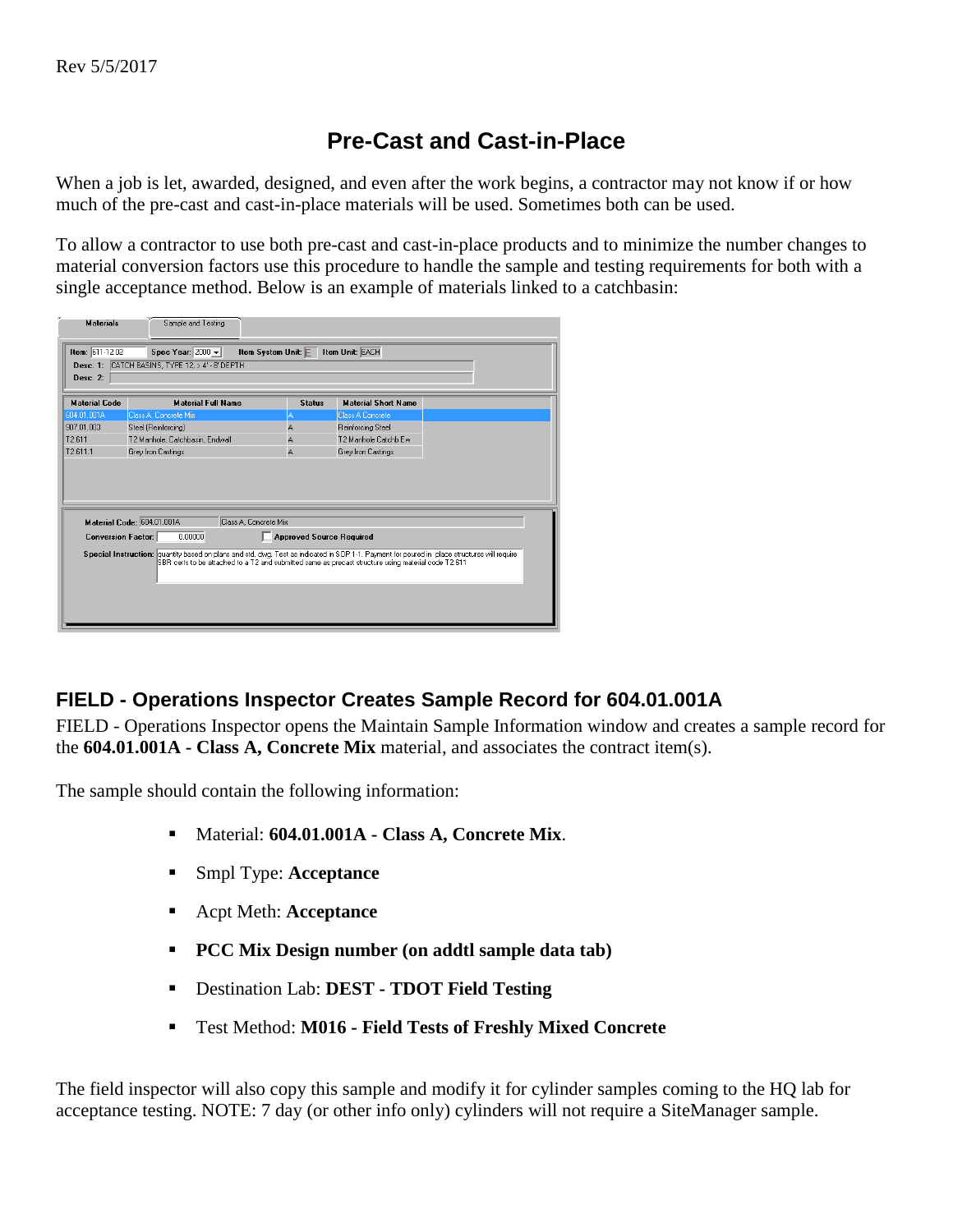## **Pre-Cast and Cast-in-Place**

When a job is let, awarded, designed, and even after the work begins, a contractor may not know if or how much of the pre-cast and cast-in-place materials will be used. Sometimes both can be used.

To allow a contractor to use both pre-cast and cast-in-place products and to minimize the number changes to material conversion factors use this procedure to handle the sample and testing requirements for both with a single acceptance method. Below is an example of materials linked to a catchbasin:

| <b>Materials</b>              | Sample and Testing                                                                                                                           |                                 |                                                                                                     |  |
|-------------------------------|----------------------------------------------------------------------------------------------------------------------------------------------|---------------------------------|-----------------------------------------------------------------------------------------------------|--|
| Item: 611-12.02<br>Desc. $2:$ | Spec Year: $2000 -$<br>Desc. 1: CATCH BASINS, TYPE 12, > 4' - 8' DEPTH                                                                       | Item System Unit: E             | <b>Item Unit: EACH</b>                                                                              |  |
| <b>Material Code</b>          | <b>Material Full Name</b>                                                                                                                    | <b>Status</b>                   | <b>Material Short Name</b>                                                                          |  |
| 604.01.001A                   | Class A. Concrete Mix                                                                                                                        | А                               | <b>Class A Concrete</b>                                                                             |  |
| 907.01.003                    | Steel (Reinforcing)                                                                                                                          | A                               | Reinforcing Steel                                                                                   |  |
| T2.611                        | T2 Manhole, Catchbasin, Endwall                                                                                                              | A                               | T2 Manhole Catchb Ew                                                                                |  |
| T2.611.1                      | Grey Iron Castings                                                                                                                           | $\overline{A}$                  | Grey Iron Castings                                                                                  |  |
|                               | Material Code: 604.01.001A<br>Class A. Concrete Mix                                                                                          |                                 |                                                                                                     |  |
| <b>Conversion Factor:</b>     | 0.00000                                                                                                                                      | <b>Approved Source Required</b> |                                                                                                     |  |
|                               | Special Instruction: quantity based on plans and std. dwg. Test as indicated in SOP 1-1. Payment for poured in place structures will require |                                 | SBR certs to be attached to a T2 and submitted same as precast structure using material code T2.611 |  |

## **FIELD - Operations Inspector Creates Sample Record for 604.01.001A**

FIELD - Operations Inspector opens the Maintain Sample Information window and creates a sample record for the **604.01.001A - Class A, Concrete Mix** material, and associates the contract item(s).

The sample should contain the following information:

- Material: **604.01.001A - Class A, Concrete Mix**.
- Smpl Type: **Acceptance**
- Acpt Meth: **Acceptance**
- **PCC Mix Design number (on addtl sample data tab)**
- Destination Lab: **DEST - TDOT Field Testing**
- Test Method: **M016 - Field Tests of Freshly Mixed Concrete**

The field inspector will also copy this sample and modify it for cylinder samples coming to the HQ lab for acceptance testing. NOTE: 7 day (or other info only) cylinders will not require a SiteManager sample.